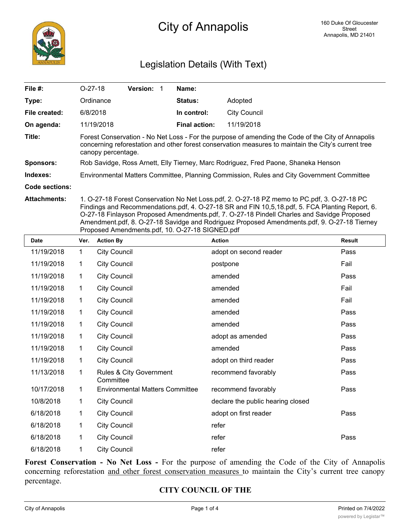

# Legislation Details (With Text)

| File #:               | $O-27-18$                                                                                                                                                                                                                      | <b>Version:</b> |  | Name:                |              |
|-----------------------|--------------------------------------------------------------------------------------------------------------------------------------------------------------------------------------------------------------------------------|-----------------|--|----------------------|--------------|
| Type:                 | Ordinance                                                                                                                                                                                                                      |                 |  | <b>Status:</b>       | Adopted      |
| File created:         | 6/8/2018                                                                                                                                                                                                                       |                 |  | In control:          | City Council |
| On agenda:            | 11/19/2018                                                                                                                                                                                                                     |                 |  | <b>Final action:</b> | 11/19/2018   |
| Title:                | Forest Conservation - No Net Loss - For the purpose of amending the Code of the City of Annapolis<br>concerning reforestation and other forest conservation measures to maintain the City's current tree<br>canopy percentage. |                 |  |                      |              |
| <b>Sponsors:</b>      | Rob Savidge, Ross Arnett, Elly Tierney, Marc Rodriguez, Fred Paone, Shaneka Henson                                                                                                                                             |                 |  |                      |              |
| Indexes:              | Environmental Matters Committee, Planning Commission, Rules and City Government Committee                                                                                                                                      |                 |  |                      |              |
| <b>Code sections:</b> |                                                                                                                                                                                                                                |                 |  |                      |              |
| <b>Attachments:</b>   | 1. O-27-18 Forest Conservation No Net Loss.pdf, 2. O-27-18 PZ memo to PC.pdf, 3. O-27-18 PC                                                                                                                                    |                 |  |                      |              |

Findings and Recommendations.pdf, 4. O-27-18 SR and FIN 10,5,18.pdf, 5. FCA Planting Report, 6. O-27-18 Finlayson Proposed Amendments.pdf, 7. O-27-18 Pindell Charles and Savidge Proposed Amendment.pdf, 8. O-27-18 Savidge and Rodriguez Proposed Amendments.pdf, 9. O-27-18 Tierney Proposed Amendments.pdf, 10. O-27-18 SIGNED.pdf

| <b>Date</b> | Ver.         | <b>Action By</b>                       | <b>Action</b>                     | <b>Result</b> |
|-------------|--------------|----------------------------------------|-----------------------------------|---------------|
| 11/19/2018  | $\mathbf{1}$ | <b>City Council</b>                    | adopt on second reader            | Pass          |
| 11/19/2018  | 1            | <b>City Council</b>                    | postpone                          | Fail          |
| 11/19/2018  | 1            | <b>City Council</b>                    | amended                           | Pass          |
| 11/19/2018  | 1            | <b>City Council</b>                    | amended                           | Fail          |
| 11/19/2018  | $\mathbf{1}$ | <b>City Council</b>                    | amended                           | Fail          |
| 11/19/2018  | 1            | <b>City Council</b>                    | amended                           | Pass          |
| 11/19/2018  | 1            | <b>City Council</b>                    | amended                           | Pass          |
| 11/19/2018  | 1            | <b>City Council</b>                    | adopt as amended                  | Pass          |
| 11/19/2018  | 1            | <b>City Council</b>                    | amended                           | Pass          |
| 11/19/2018  | 1            | <b>City Council</b>                    | adopt on third reader             | Pass          |
| 11/13/2018  | 1            | Rules & City Government<br>Committee   | recommend favorably               | Pass          |
| 10/17/2018  | 1            | <b>Environmental Matters Committee</b> | recommend favorably               | Pass          |
| 10/8/2018   | 1            | <b>City Council</b>                    | declare the public hearing closed |               |
| 6/18/2018   | 1            | <b>City Council</b>                    | adopt on first reader             | Pass          |
| 6/18/2018   | 1            | <b>City Council</b>                    | refer                             |               |
| 6/18/2018   | 1            | <b>City Council</b>                    | refer                             | Pass          |
| 6/18/2018   | 1            | <b>City Council</b>                    | refer                             |               |

**Forest Conservation - No Net Loss -** For the purpose of amending the Code of the City of Annapolis concerning reforestation and other forest conservation measures to maintain the City's current tree canopy percentage.

# **CITY COUNCIL OF THE**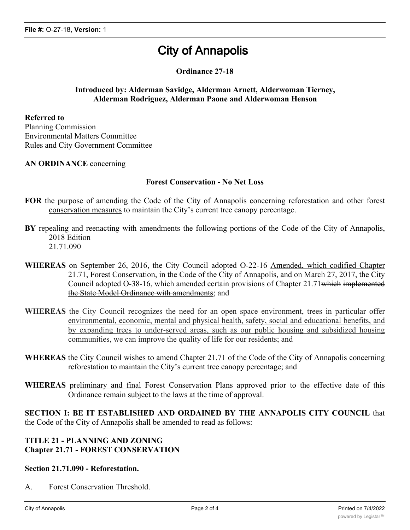# **City of Annapolis**

# **Ordinance 27-18**

#### **Introduced by: Alderman Savidge, Alderman Arnett, Alderwoman Tierney, Alderman Rodriguez, Alderman Paone and Alderwoman Henson**

#### **Referred to**

Planning Commission Environmental Matters Committee Rules and City Government Committee

#### **AN ORDINANCE** concerning

#### **Forest Conservation - No Net Loss**

- **FOR** the purpose of amending the Code of the City of Annapolis concerning reforestation and other forest conservation measures to maintain the City's current tree canopy percentage.
- **BY** repealing and reenacting with amendments the following portions of the Code of the City of Annapolis, 2018 Edition 21.71.090
- **WHEREAS** on September 26, 2016, the City Council adopted O-22-16 Amended, which codified Chapter 21.71, Forest Conservation, in the Code of the City of Annapolis, and on March 27, 2017, the City
	- Council adopted O-38-16, which amended certain provisions of Chapter 21.71which implemented the State Model Ordinance with amendments; and
- **WHEREAS** the City Council recognizes the need for an open space environment, trees in particular offer environmental, economic, mental and physical health, safety, social and educational benefits, and by expanding trees to under-served areas, such as our public housing and subsidized housing communities, we can improve the quality of life for our residents; and
- **WHEREAS** the City Council wishes to amend Chapter 21.71 of the Code of the City of Annapolis concerning reforestation to maintain the City's current tree canopy percentage; and
- **WHEREAS** preliminary and final Forest Conservation Plans approved prior to the effective date of this Ordinance remain subject to the laws at the time of approval.

**SECTION I: BE IT ESTABLISHED AND ORDAINED BY THE ANNAPOLIS CITY COUNCIL** that the Code of the City of Annapolis shall be amended to read as follows:

### **TITLE 21 - PLANNING AND ZONING Chapter 21.71 - FOREST CONSERVATION**

#### **Section 21.71.090 - Reforestation.**

A. Forest Conservation Threshold.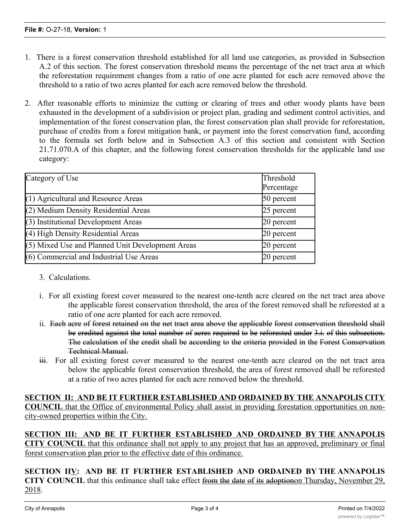- 1. There is a forest conservation threshold established for all land use categories, as provided in Subsection A.2 of this section. The forest conservation threshold means the percentage of the net tract area at which the reforestation requirement changes from a ratio of one acre planted for each acre removed above the threshold to a ratio of two acres planted for each acre removed below the threshold.
- 2. After reasonable efforts to minimize the cutting or clearing of trees and other woody plants have been exhausted in the development of a subdivision or project plan, grading and sediment control activities, and implementation of the forest conservation plan, the forest conservation plan shall provide for reforestation, purchase of credits from a forest mitigation bank, or payment into the forest conservation fund, according to the formula set forth below and in Subsection A.3 of this section and consistent with Section 21.71.070.A of this chapter, and the following forest conservation thresholds for the applicable land use category:

| Category of Use                                  | Threshold<br>Percentage |
|--------------------------------------------------|-------------------------|
| $(1)$ Agricultural and Resource Areas            | 50 percent              |
| (2) Medium Density Residential Areas             | 25 percent              |
| $(3)$ Institutional Development Areas            | 20 percent              |
| (4) High Density Residential Areas               | 20 percent              |
| (5) Mixed Use and Planned Unit Development Areas | $20$ percent            |
| $(6)$ Commercial and Industrial Use Areas        | $20$ percent            |

- 3. Calculations.
- i. For all existing forest cover measured to the nearest one-tenth acre cleared on the net tract area above the applicable forest conservation threshold, the area of the forest removed shall be reforested at a ratio of one acre planted for each acre removed.
- ii. Each acre of forest retained on the net tract area above the applicable forest conservation threshold shall be credited against the total number of acres required to be reforested under 3.i. of this subsection. The calculation of the credit shall be according to the criteria provided in the Forest Conservation Technical Manual.
- iii. For all existing forest cover measured to the nearest one-tenth acre cleared on the net tract area below the applicable forest conservation threshold, the area of forest removed shall be reforested at a ratio of two acres planted for each acre removed below the threshold.

# **SECTION II: AND BE IT FURTHER ESTABLISHED AND ORDAINED BY THE ANNAPOLIS CITY COUNCIL** that the Office of environmental Policy shall assist in providing forestation opportunities on noncity-owned properties within the City.

**SECTION III: AND BE IT FURTHER ESTABLISHED AND ORDAINED BY THE ANNAPOLIS CITY COUNCIL** that this ordinance shall not apply to any project that has an approved, preliminary or final forest conservation plan prior to the effective date of this ordinance.

**SECTION IIV: AND BE IT FURTHER ESTABLISHED AND ORDAINED BY THE ANNAPOLIS CITY** COUNCIL that this ordinance shall take effect from the date of its adoptionon Thursday, November 29, 2018.